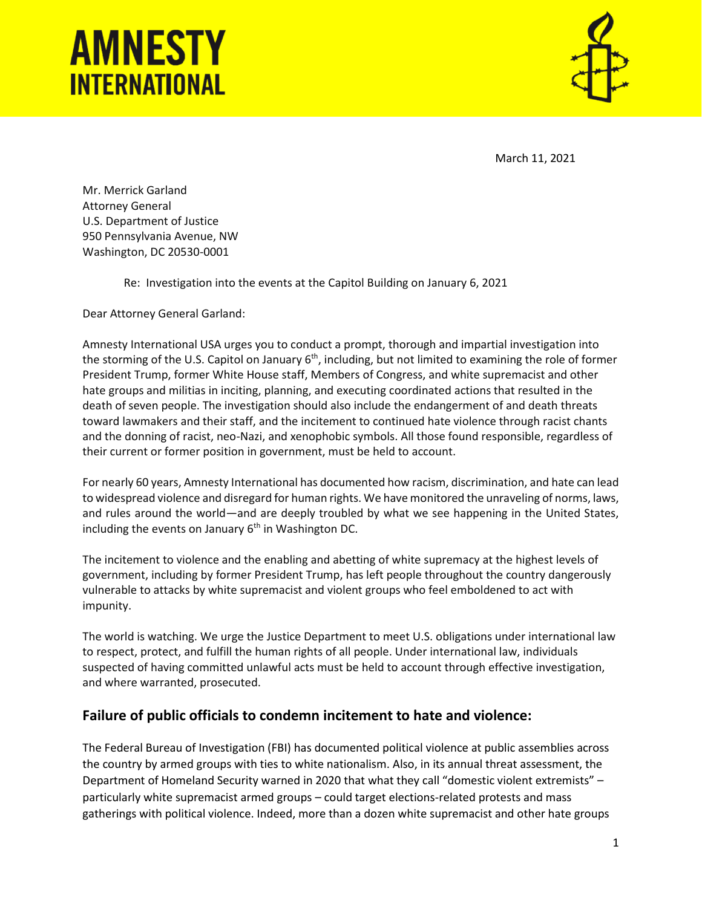## **AMNESTY INTERNATIONAL**



March 11, 2021

Mr. Merrick Garland Attorney General U.S. Department of Justice 950 Pennsylvania Avenue, NW Washington, DC 20530-0001

Re: Investigation into the events at the Capitol Building on January 6, 2021

Dear Attorney General Garland:

Amnesty International USA urges you to conduct a prompt, thorough and impartial investigation into the storming of the U.S. Capitol on January 6<sup>th</sup>, including, but not limited to examining the role of former President Trump, former White House staff, Members of Congress, and white supremacist and other hate groups and militias in inciting, planning, and executing coordinated actions that resulted in the death of seven people. The investigation should also include the endangerment of and death threats toward lawmakers and their staff, and the incitement to continued hate violence through racist chants and the donning of racist, neo-Nazi, and xenophobic symbols. All those found responsible, regardless of their current or former position in government, must be held to account.

For nearly 60 years, Amnesty International has documented how racism, discrimination, and hate can lead to widespread violence and disregard for human rights. We have monitored the unraveling of norms, laws, and rules around the world—and are deeply troubled by what we see happening in the United States, including the events on January  $6<sup>th</sup>$  in Washington DC.

The incitement to violence and the enabling and abetting of white supremacy at the highest levels of government, including by former President Trump, has left people throughout the country dangerously vulnerable to attacks by white supremacist and violent groups who feel emboldened to act with impunity.

The world is watching. We urge the Justice Department to meet U.S. obligations under international law to respect, protect, and fulfill the human rights of all people. Under international law, individuals suspected of having committed unlawful acts must be held to account through effective investigation, and where warranted, prosecuted.

## **Failure of public officials to condemn incitement to hate and violence:**

The Federal Bureau of Investigation (FBI) has documented political violence at public assemblies across the country by armed groups with ties to white nationalism. Also, in its annual threat assessment, the Department of Homeland Security warned in 2020 that what they call "domestic violent extremists" – particularly white supremacist armed groups – could target elections-related protests and mass gatherings with political violence. Indeed, more than a dozen white supremacist and other hate groups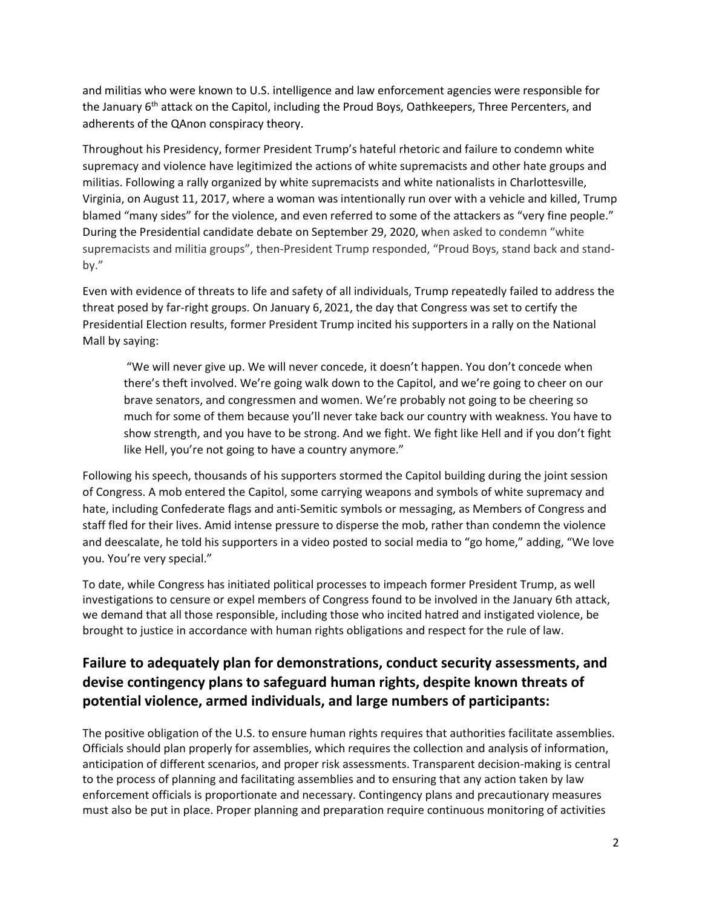and militias who were known to U.S. intelligence and law enforcement agencies were responsible for the January 6<sup>th</sup> attack on the Capitol, including the Proud Boys, Oathkeepers, Three Percenters, and adherents of the QAnon conspiracy theory.

Throughout his Presidency, former President Trump's hateful rhetoric and failure to condemn white supremacy and violence have legitimized the actions of white supremacists and other hate groups and militias. Following a rally organized by white supremacists and white nationalists in Charlottesville, Virginia, on August 11, 2017, where a woman was intentionally run over with a vehicle and killed, Trump blamed "many sides" for the violence, and even referred to some of the attackers as "very fine people." During the Presidential candidate debate on September 29, 2020, when asked to condemn "white supremacists and militia groups", then-President Trump responded, "Proud Boys, stand back and standby."

Even with evidence of threats to life and safety of all individuals, Trump repeatedly failed to address the threat posed by far-right groups. On January 6, 2021, the day that Congress was set to certify the Presidential Election results, former President Trump incited his supporters in a rally on the National Mall by saying:

"We will never give up. We will never concede, it doesn't happen. You don't concede when there's theft involved. We're going walk down to the Capitol, and we're going to cheer on our brave senators, and congressmen and women. We're probably not going to be cheering so much for some of them because you'll never take back our country with weakness. You have to show strength, and you have to be strong. And we fight. We fight like Hell and if you don't fight like Hell, you're not going to have a country anymore."

Following his speech, thousands of his supporters stormed the Capitol building during the joint session of Congress. A mob entered the Capitol, some carrying weapons and symbols of white supremacy and hate, including Confederate flags and anti-Semitic symbols or messaging, as Members of Congress and staff fled for their lives. Amid intense pressure to disperse the mob, rather than condemn the violence and deescalate, he told his supporters in a video posted to social media to "go home," adding, "We love you. You're very special."

To date, while Congress has initiated political processes to impeach former President Trump, as well investigations to censure or expel members of Congress found to be involved in the January 6th attack, we demand that all those responsible, including those who incited hatred and instigated violence, be brought to justice in accordance with human rights obligations and respect for the rule of law.

## **Failure to adequately plan for demonstrations, conduct security assessments, and devise contingency plans to safeguard human rights, despite known threats of potential violence, armed individuals, and large numbers of participants:**

The positive obligation of the U.S. to ensure human rights requires that authorities facilitate assemblies. Officials should plan properly for assemblies, which requires the collection and analysis of information, anticipation of different scenarios, and proper risk assessments. Transparent decision-making is central to the process of planning and facilitating assemblies and to ensuring that any action taken by law enforcement officials is proportionate and necessary. Contingency plans and precautionary measures must also be put in place. Proper planning and preparation require continuous monitoring of activities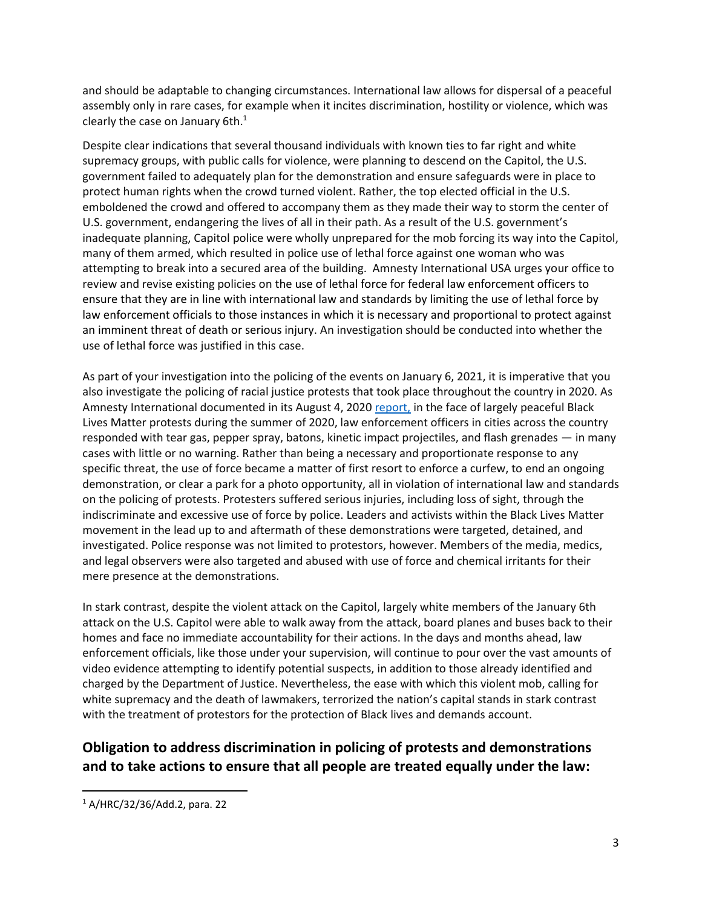and should be adaptable to changing circumstances. International law allows for dispersal of a peaceful assembly only in rare cases, for example when it incites discrimination, hostility or violence, which was clearly the case on January  $6th.<sup>1</sup>$ 

Despite clear indications that several thousand individuals with known ties to far right and white supremacy groups, with public calls for violence, were planning to descend on the Capitol, the U.S. government failed to adequately plan for the demonstration and ensure safeguards were in place to protect human rights when the crowd turned violent. Rather, the top elected official in the U.S. emboldened the crowd and offered to accompany them as they made their way to storm the center of U.S. government, endangering the lives of all in their path. As a result of the U.S. government's inadequate planning, Capitol police were wholly unprepared for the mob forcing its way into the Capitol, many of them armed, which resulted in police use of lethal force against one woman who was attempting to break into a secured area of the building. Amnesty International USA urges your office to review and revise existing policies on the use of lethal force for federal law enforcement officers to ensure that they are in line with international law and standards by limiting the use of lethal force by law enforcement officials to those instances in which it is necessary and proportional to protect against an imminent threat of death or serious injury. An investigation should be conducted into whether the use of lethal force was justified in this case.

As part of your investigation into the policing of the events on January 6, 2021, it is imperative that you also investigate the policing of racial justice protests that took place throughout the country in 2020. As Amnesty International documented in its August 4, 2020 [report,](https://www.amnestyusa.org/wp-content/uploads/2020/07/WorldisWatchingFullReport080220.pdf) in the face of largely peaceful Black Lives Matter protests during the summer of 2020, law enforcement officers in cities across the country responded with tear gas, pepper spray, batons, kinetic impact projectiles, and flash grenades — in many cases with little or no warning. Rather than being a necessary and proportionate response to any specific threat, the use of force became a matter of first resort to enforce a curfew, to end an ongoing demonstration, or clear a park for a photo opportunity, all in violation of international law and standards on the policing of protests. Protesters suffered serious injuries, including loss of sight, through the indiscriminate and excessive use of force by police. Leaders and activists within the Black Lives Matter movement in the lead up to and aftermath of these demonstrations were targeted, detained, and investigated. Police response was not limited to protestors, however. Members of the media, medics, and legal observers were also targeted and abused with use of force and chemical irritants for their mere presence at the demonstrations.

In stark contrast, despite the violent attack on the Capitol, largely white members of the January 6th attack on the U.S. Capitol were able to walk away from the attack, board planes and buses back to their homes and face no immediate accountability for their actions. In the days and months ahead, law enforcement officials, like those under your supervision, will continue to pour over the vast amounts of video evidence attempting to identify potential suspects, in addition to those already identified and charged by the Department of Justice. Nevertheless, the ease with which this violent mob, calling for white supremacy and the death of lawmakers, terrorized the nation's capital stands in stark contrast with the treatment of protestors for the protection of Black lives and demands account.

## **Obligation to address discrimination in policing of protests and demonstrations and to take actions to ensure that all people are treated equally under the law:**

 $1$  A/HRC/32/36/Add.2, para. 22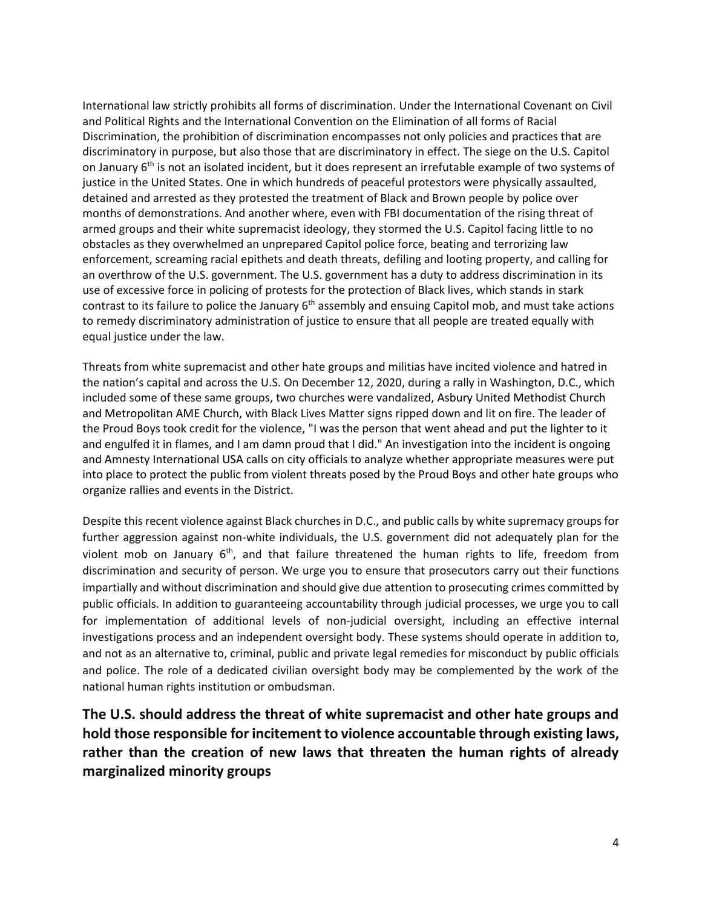International law strictly prohibits all forms of discrimination. Under the International Covenant on Civil and Political Rights and the International Convention on the Elimination of all forms of Racial Discrimination, the prohibition of discrimination encompasses not only policies and practices that are discriminatory in purpose, but also those that are discriminatory in effect. The siege on the U.S. Capitol on January  $6<sup>th</sup>$  is not an isolated incident, but it does represent an irrefutable example of two systems of justice in the United States. One in which hundreds of peaceful protestors were physically assaulted, detained and arrested as they protested the treatment of Black and Brown people by police over months of demonstrations. And another where, even with FBI documentation of the rising threat of armed groups and their white supremacist ideology, they stormed the U.S. Capitol facing little to no obstacles as they overwhelmed an unprepared Capitol police force, beating and terrorizing law enforcement, screaming racial epithets and death threats, defiling and looting property, and calling for an overthrow of the U.S. government. The U.S. government has a duty to address discrimination in its use of excessive force in policing of protests for the protection of Black lives, which stands in stark contrast to its failure to police the January 6<sup>th</sup> assembly and ensuing Capitol mob, and must take actions to remedy discriminatory administration of justice to ensure that all people are treated equally with equal justice under the law.

Threats from white supremacist and other hate groups and militias have incited violence and hatred in the nation's capital and across the U.S. On December 12, 2020, during a rally in Washington, D.C., which included some of these same groups, two churches were vandalized, Asbury United Methodist Church and Metropolitan AME Church, with Black Lives Matter signs ripped down and lit on fire. The leader of the Proud Boys took credit for the violence, "I was the person that went ahead and put the lighter to it and engulfed it in flames, and I am damn proud that I did." An investigation into the incident is ongoing and Amnesty International USA calls on city officials to analyze whether appropriate measures were put into place to protect the public from violent threats posed by the Proud Boys and other hate groups who organize rallies and events in the District.

Despite this recent violence against Black churches in D.C., and public calls by white supremacy groups for further aggression against non-white individuals, the U.S. government did not adequately plan for the violent mob on January  $6<sup>th</sup>$ , and that failure threatened the human rights to life, freedom from discrimination and security of person. We urge you to ensure that prosecutors carry out their functions impartially and without discrimination and should give due attention to prosecuting crimes committed by public officials. In addition to guaranteeing accountability through judicial processes, we urge you to call for implementation of additional levels of non-judicial oversight, including an effective internal investigations process and an independent oversight body. These systems should operate in addition to, and not as an alternative to, criminal, public and private legal remedies for misconduct by public officials and police. The role of a dedicated civilian oversight body may be complemented by the work of the national human rights institution or ombudsman.

**The U.S. should address the threat of white supremacist and other hate groups and hold those responsible for incitement to violence accountable through existing laws, rather than the creation of new laws that threaten the human rights of already marginalized minority groups**